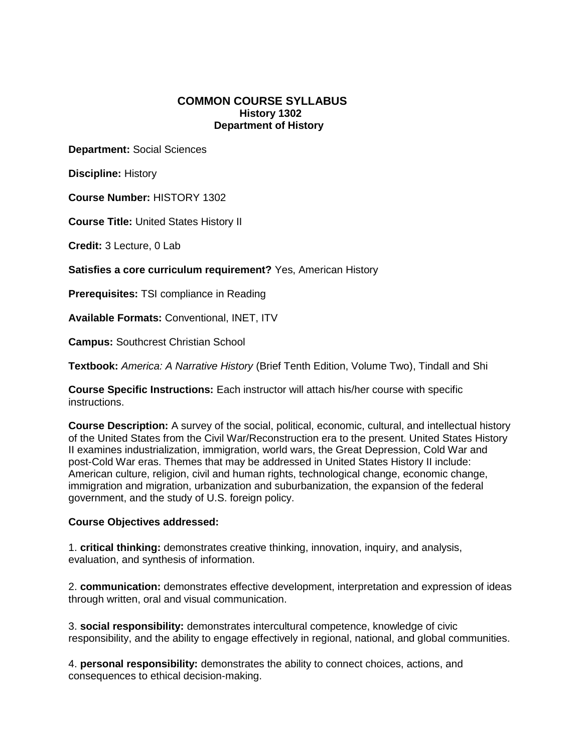## **COMMON COURSE SYLLABUS History 1302 Department of History**

**Department:** Social Sciences

**Discipline:** History

**Course Number:** HISTORY 1302

**Course Title:** United States History II

**Credit:** 3 Lecture, 0 Lab

**Satisfies a core curriculum requirement?** Yes, American History

**Prerequisites:** TSI compliance in Reading

**Available Formats:** Conventional, INET, ITV

**Campus:** Southcrest Christian School

**Textbook:** *America: A Narrative History* (Brief Tenth Edition, Volume Two), Tindall and Shi

**Course Specific Instructions:** Each instructor will attach his/her course with specific instructions.

**Course Description:** A survey of the social, political, economic, cultural, and intellectual history of the United States from the Civil War/Reconstruction era to the present. United States History II examines industrialization, immigration, world wars, the Great Depression, Cold War and post-Cold War eras. Themes that may be addressed in United States History II include: American culture, religion, civil and human rights, technological change, economic change, immigration and migration, urbanization and suburbanization, the expansion of the federal government, and the study of U.S. foreign policy.

#### **Course Objectives addressed:**

1. **critical thinking:** demonstrates creative thinking, innovation, inquiry, and analysis, evaluation, and synthesis of information.

2. **communication:** demonstrates effective development, interpretation and expression of ideas through written, oral and visual communication.

3. **social responsibility:** demonstrates intercultural competence, knowledge of civic responsibility, and the ability to engage effectively in regional, national, and global communities.

4. **personal responsibility:** demonstrates the ability to connect choices, actions, and consequences to ethical decision-making.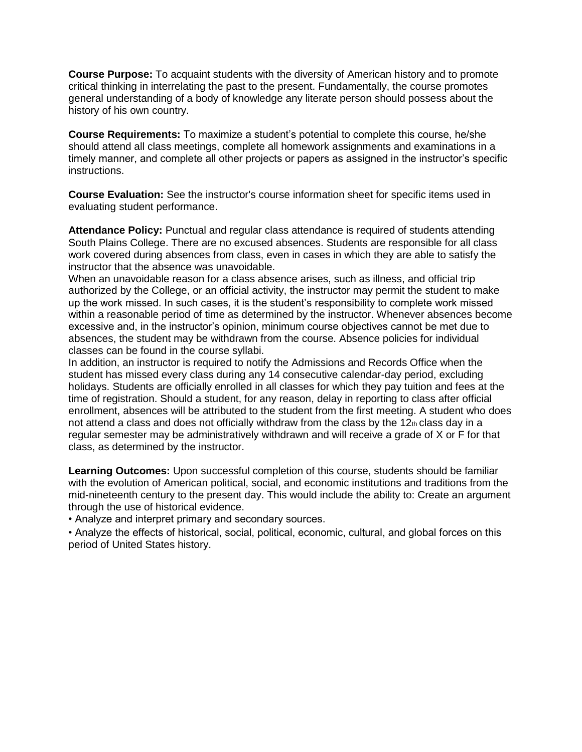**Course Purpose:** To acquaint students with the diversity of American history and to promote critical thinking in interrelating the past to the present. Fundamentally, the course promotes general understanding of a body of knowledge any literate person should possess about the history of his own country.

**Course Requirements:** To maximize a student's potential to complete this course, he/she should attend all class meetings, complete all homework assignments and examinations in a timely manner, and complete all other projects or papers as assigned in the instructor's specific instructions.

**Course Evaluation:** See the instructor's course information sheet for specific items used in evaluating student performance.

**Attendance Policy:** Punctual and regular class attendance is required of students attending South Plains College. There are no excused absences. Students are responsible for all class work covered during absences from class, even in cases in which they are able to satisfy the instructor that the absence was unavoidable.

When an unavoidable reason for a class absence arises, such as illness, and official trip authorized by the College, or an official activity, the instructor may permit the student to make up the work missed. In such cases, it is the student's responsibility to complete work missed within a reasonable period of time as determined by the instructor. Whenever absences become excessive and, in the instructor's opinion, minimum course objectives cannot be met due to absences, the student may be withdrawn from the course. Absence policies for individual classes can be found in the course syllabi.

In addition, an instructor is required to notify the Admissions and Records Office when the student has missed every class during any 14 consecutive calendar-day period, excluding holidays. Students are officially enrolled in all classes for which they pay tuition and fees at the time of registration. Should a student, for any reason, delay in reporting to class after official enrollment, absences will be attributed to the student from the first meeting. A student who does not attend a class and does not officially withdraw from the class by the 12th class day in a regular semester may be administratively withdrawn and will receive a grade of X or F for that class, as determined by the instructor.

**Learning Outcomes:** Upon successful completion of this course, students should be familiar with the evolution of American political, social, and economic institutions and traditions from the mid-nineteenth century to the present day. This would include the ability to: Create an argument through the use of historical evidence.

• Analyze and interpret primary and secondary sources.

• Analyze the effects of historical, social, political, economic, cultural, and global forces on this period of United States history.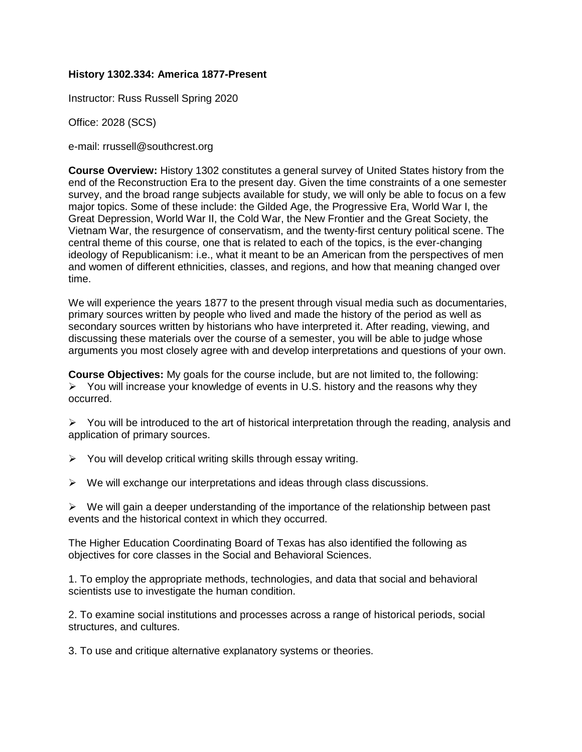## **History 1302.334: America 1877-Present**

Instructor: Russ Russell Spring 2020

Office: 2028 (SCS)

e-mail: rrussell@southcrest.org

**Course Overview:** History 1302 constitutes a general survey of United States history from the end of the Reconstruction Era to the present day. Given the time constraints of a one semester survey, and the broad range subjects available for study, we will only be able to focus on a few major topics. Some of these include: the Gilded Age, the Progressive Era, World War I, the Great Depression, World War II, the Cold War, the New Frontier and the Great Society, the Vietnam War, the resurgence of conservatism, and the twenty-first century political scene. The central theme of this course, one that is related to each of the topics, is the ever-changing ideology of Republicanism: i.e., what it meant to be an American from the perspectives of men and women of different ethnicities, classes, and regions, and how that meaning changed over time.

We will experience the years 1877 to the present through visual media such as documentaries, primary sources written by people who lived and made the history of the period as well as secondary sources written by historians who have interpreted it. After reading, viewing, and discussing these materials over the course of a semester, you will be able to judge whose arguments you most closely agree with and develop interpretations and questions of your own.

**Course Objectives:** My goals for the course include, but are not limited to, the following:  $\triangleright$  You will increase your knowledge of events in U.S. history and the reasons why they occurred.

 $\triangleright$  You will be introduced to the art of historical interpretation through the reading, analysis and application of primary sources.

- $\triangleright$  You will develop critical writing skills through essay writing.
- $\triangleright$  We will exchange our interpretations and ideas through class discussions.

 $\triangleright$  We will gain a deeper understanding of the importance of the relationship between past events and the historical context in which they occurred.

The Higher Education Coordinating Board of Texas has also identified the following as objectives for core classes in the Social and Behavioral Sciences.

1. To employ the appropriate methods, technologies, and data that social and behavioral scientists use to investigate the human condition.

2. To examine social institutions and processes across a range of historical periods, social structures, and cultures.

3. To use and critique alternative explanatory systems or theories.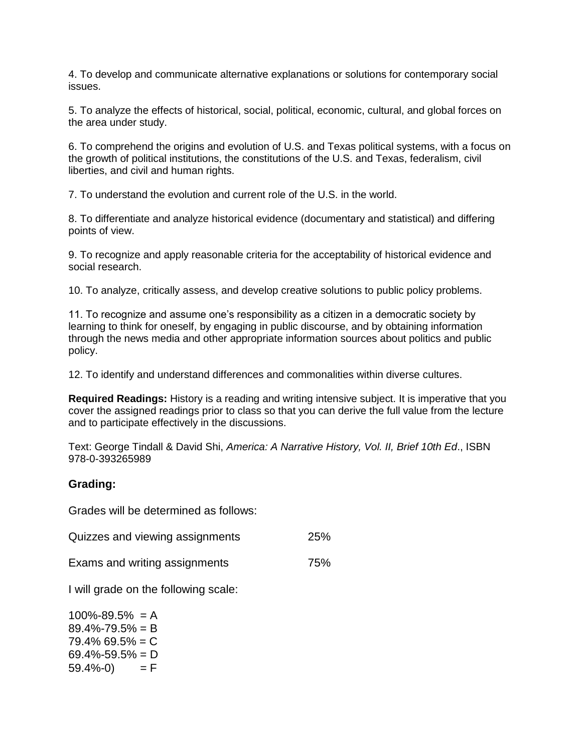4. To develop and communicate alternative explanations or solutions for contemporary social issues.

5. To analyze the effects of historical, social, political, economic, cultural, and global forces on the area under study.

6. To comprehend the origins and evolution of U.S. and Texas political systems, with a focus on the growth of political institutions, the constitutions of the U.S. and Texas, federalism, civil liberties, and civil and human rights.

7. To understand the evolution and current role of the U.S. in the world.

8. To differentiate and analyze historical evidence (documentary and statistical) and differing points of view.

9. To recognize and apply reasonable criteria for the acceptability of historical evidence and social research.

10. To analyze, critically assess, and develop creative solutions to public policy problems.

11. To recognize and assume one's responsibility as a citizen in a democratic society by learning to think for oneself, by engaging in public discourse, and by obtaining information through the news media and other appropriate information sources about politics and public policy.

12. To identify and understand differences and commonalities within diverse cultures.

**Required Readings:** History is a reading and writing intensive subject. It is imperative that you cover the assigned readings prior to class so that you can derive the full value from the lecture and to participate effectively in the discussions.

Text: George Tindall & David Shi, *America: A Narrative History, Vol. II, Brief 10th Ed*., ISBN 978-0-393265989

# **Grading:**

Grades will be determined as follows:

| Quizzes and viewing assignments |  |  | 25% |
|---------------------------------|--|--|-----|
|---------------------------------|--|--|-----|

Exams and writing assignments 75%

I will grade on the following scale:

 $100\% - 89.5\% = A$  $89.4\% - 79.5\% = B$  $79.4\%$  69.5% = C  $69.4\% - 59.5\% = D$  $59.4\% - 0$  = F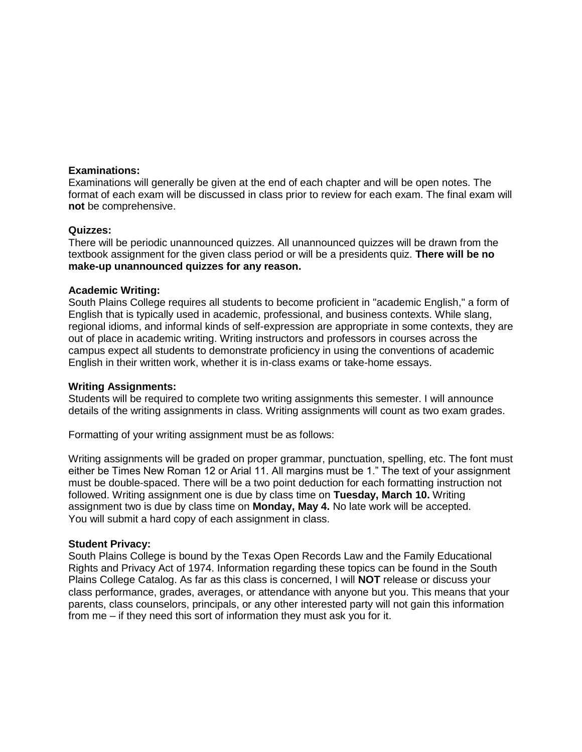#### **Examinations:**

Examinations will generally be given at the end of each chapter and will be open notes. The format of each exam will be discussed in class prior to review for each exam. The final exam will **not** be comprehensive.

## **Quizzes:**

There will be periodic unannounced quizzes. All unannounced quizzes will be drawn from the textbook assignment for the given class period or will be a presidents quiz. **There will be no make-up unannounced quizzes for any reason.** 

## **Academic Writing:**

South Plains College requires all students to become proficient in "academic English," a form of English that is typically used in academic, professional, and business contexts. While slang, regional idioms, and informal kinds of self-expression are appropriate in some contexts, they are out of place in academic writing. Writing instructors and professors in courses across the campus expect all students to demonstrate proficiency in using the conventions of academic English in their written work, whether it is in-class exams or take-home essays.

#### **Writing Assignments:**

Students will be required to complete two writing assignments this semester. I will announce details of the writing assignments in class. Writing assignments will count as two exam grades.

Formatting of your writing assignment must be as follows:

Writing assignments will be graded on proper grammar, punctuation, spelling, etc. The font must either be Times New Roman 12 or Arial 11. All margins must be 1." The text of your assignment must be double-spaced. There will be a two point deduction for each formatting instruction not followed. Writing assignment one is due by class time on **Tuesday, March 10.** Writing assignment two is due by class time on **Monday, May 4.** No late work will be accepted. You will submit a hard copy of each assignment in class.

#### **Student Privacy:**

South Plains College is bound by the Texas Open Records Law and the Family Educational Rights and Privacy Act of 1974. Information regarding these topics can be found in the South Plains College Catalog. As far as this class is concerned, I will **NOT** release or discuss your class performance, grades, averages, or attendance with anyone but you. This means that your parents, class counselors, principals, or any other interested party will not gain this information from me – if they need this sort of information they must ask you for it.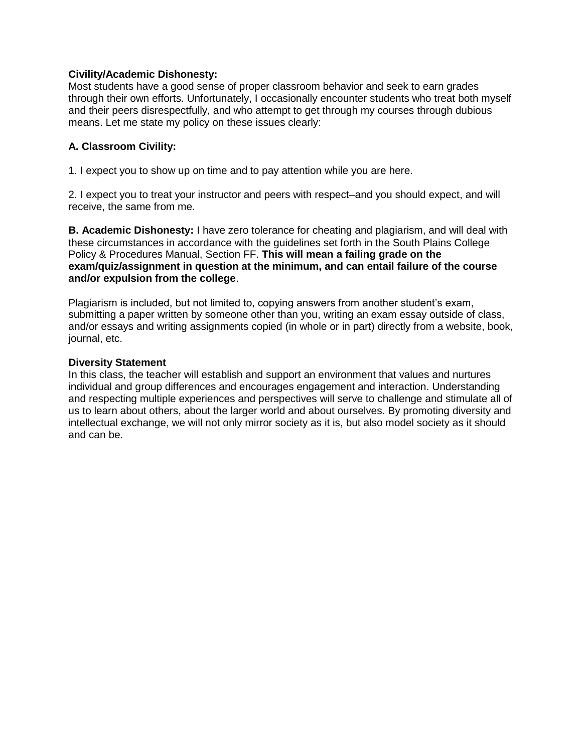# **Civility/Academic Dishonesty:**

Most students have a good sense of proper classroom behavior and seek to earn grades through their own efforts. Unfortunately, I occasionally encounter students who treat both myself and their peers disrespectfully, and who attempt to get through my courses through dubious means. Let me state my policy on these issues clearly:

# **A. Classroom Civility:**

1. I expect you to show up on time and to pay attention while you are here.

2. I expect you to treat your instructor and peers with respect–and you should expect, and will receive, the same from me.

**B. Academic Dishonesty:** I have zero tolerance for cheating and plagiarism, and will deal with these circumstances in accordance with the guidelines set forth in the South Plains College Policy & Procedures Manual, Section FF. **This will mean a failing grade on the exam/quiz/assignment in question at the minimum, and can entail failure of the course and/or expulsion from the college**.

Plagiarism is included, but not limited to, copying answers from another student's exam, submitting a paper written by someone other than you, writing an exam essay outside of class, and/or essays and writing assignments copied (in whole or in part) directly from a website, book, journal, etc.

## **Diversity Statement**

In this class, the teacher will establish and support an environment that values and nurtures individual and group differences and encourages engagement and interaction. Understanding and respecting multiple experiences and perspectives will serve to challenge and stimulate all of us to learn about others, about the larger world and about ourselves. By promoting diversity and intellectual exchange, we will not only mirror society as it is, but also model society as it should and can be.